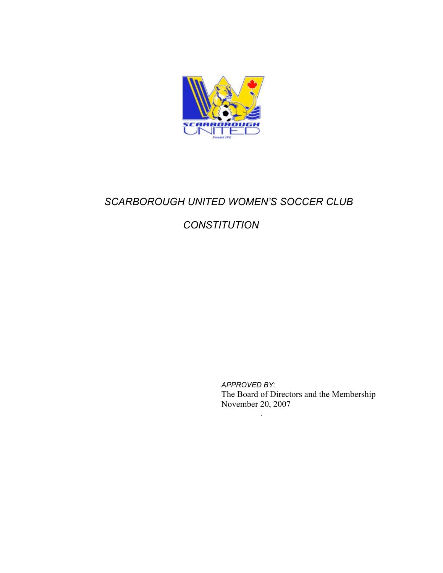

# *SCARBOROUGH UNITED WOMEN'S SOCCER CLUB*

# *CONSTITUTION*

*APPROVED BY:* The Board of Directors and the Membership November 20, 2007

*.*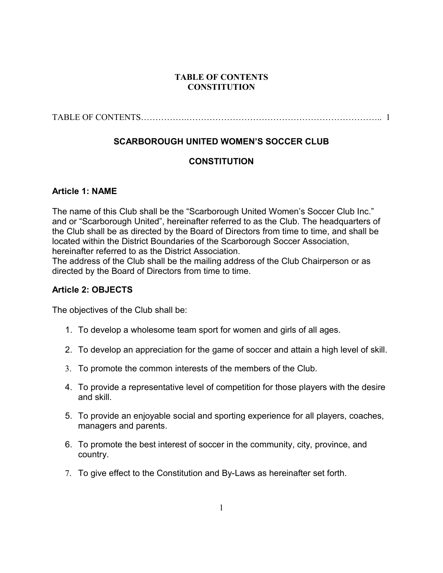#### **TABLE OF CONTENTS CONSTITUTION**

# **SCARBOROUGH UNITED WOMEN'S SOCCER CLUB**

# **CONSTITUTION**

#### **Article 1: NAME**

The name of this Club shall be the "Scarborough United Women's Soccer Club Inc." and or "Scarborough United", hereinafter referred to as the Club. The headquarters of the Club shall be as directed by the Board of Directors from time to time, and shall be located within the District Boundaries of the Scarborough Soccer Association, hereinafter referred to as the District Association.

The address of the Club shall be the mailing address of the Club Chairperson or as directed by the Board of Directors from time to time.

#### **Article 2: OBJECTS**

The objectives of the Club shall be:

- 1. To develop a wholesome team sport for women and girls of all ages.
- 2. To develop an appreciation for the game of soccer and attain a high level of skill.
- 3. To promote the common interests of the members of the Club.
- 4. To provide a representative level of competition for those players with the desire and skill.
- 5. To provide an enjoyable social and sporting experience for all players, coaches, managers and parents.
- 6. To promote the best interest of soccer in the community, city, province, and country.
- 7. To give effect to the Constitution and By-Laws as hereinafter set forth.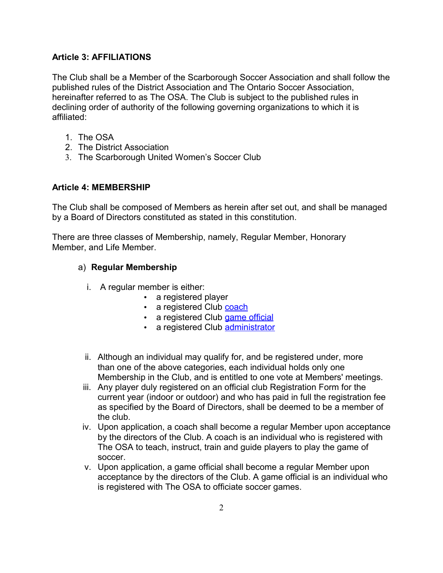# **Article 3: AFFILIATIONS**

The Club shall be a Member of the Scarborough Soccer Association and shall follow the published rules of the District Association and The Ontario Soccer Association, hereinafter referred to as The OSA. The Club is subject to the published rules in declining order of authority of the following governing organizations to which it is affiliated:

- 1. The OSA
- 2. The District Association
- 3. The Scarborough United Women's Soccer Club

## **Article 4: MEMBERSHIP**

The Club shall be composed of Members as herein after set out, and shall be managed by a Board of Directors constituted as stated in this constitution.

There are three classes of Membership, namely, Regular Member, Honorary Member, and Life Member.

# a) **Regular Membership**

- i. A regular member is either:
	- a registered player
	- a registered Club [coach](http://soccer.on.ca/Committee/BoardMeeting.nsf/f434860539262a5f85256a5500763a8a/588301a813beec3885256e29007816a6?OpenDocument#Upon%20application%2C%20a%20coach%20and%20gam)
	- a registered Club [game official](http://soccer.on.ca/Committee/BoardMeeting.nsf/f434860539262a5f85256a5500763a8a/588301a813beec3885256e29007816a6?OpenDocument#Upon%20application%2C%20a%20game%20official)
	- a registered Club [administrator](http://soccer.on.ca/Committee/BoardMeeting.nsf/f434860539262a5f85256a5500763a8a/588301a813beec3885256e29007816a6?OpenDocument#An%20administrator%20shall%20become%20a%20r)
- ii. Although an individual may qualify for, and be registered under, more than one of the above categories, each individual holds only one Membership in the Club, and is entitled to one vote at Members' meetings.
- iii. Any player duly registered on an official club Registration Form for the current year (indoor or outdoor) and who has paid in full the registration fee as specified by the Board of Directors, shall be deemed to be a member of the club.
- iv. Upon application, a coach shall become a regular Member upon acceptance by the directors of the Club. A coach is an individual who is registered with The OSA to teach, instruct, train and guide players to play the game of soccer.
- v. Upon application, a game official shall become a regular Member upon acceptance by the directors of the Club. A game official is an individual who is registered with The OSA to officiate soccer games.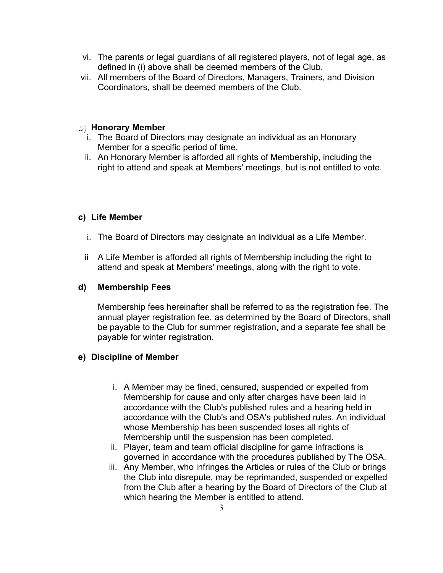- vi. The parents or legal guardians of all registered players, not of legal age, as defined in (i) above shall be deemed members of the Club.
- vii. All members of the Board of Directors, Managers, Trainers, and Division Coordinators, shall be deemed members of the Club.

#### **b) Honorary Member**

- i. The Board of Directors may designate an individual as an Honorary Member for a specific period of time.
- ii. An Honorary Member is afforded all rights of Membership, including the right to attend and speak at Members' meetings, but is not entitled to vote.

## **c) Life Member**

- i. The Board of Directors may designate an individual as a Life Member.
- ii A Life Member is afforded all rights of Membership including the right to attend and speak at Members' meetings, along with the right to vote.

#### **d) Membership Fees**

Membership fees hereinafter shall be referred to as the registration fee. The annual player registration fee, as determined by the Board of Directors, shall be payable to the Club for summer registration, and a separate fee shall be payable for winter registration.

## **e) Discipline of Member**

- i. A Member may be fined, censured, suspended or expelled from Membership for cause and only after charges have been laid in accordance with the Club's published rules and a hearing held in accordance with the Club's and OSA's published rules. An individual whose Membership has been suspended loses all rights of Membership until the suspension has been completed.
- ii. Player, team and team official discipline for game infractions is governed in accordance with the procedures published by The OSA.
- iii. Any Member, who infringes the Articles or rules of the Club or brings the Club into disrepute, may be reprimanded, suspended or expelled from the Club after a hearing by the Board of Directors of the Club at which hearing the Member is entitled to attend.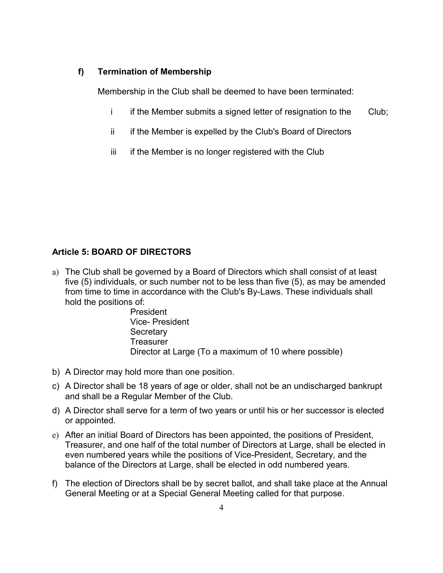#### **f) Termination of Membership**

Membership in the Club shall be deemed to have been terminated:

- i if the Member submits a signed letter of resignation to the Club;
- ii if the Member is expelled by the Club's Board of Directors
- iii if the Member is no longer registered with the Club

## **Article 5: BOARD OF DIRECTORS**

a) The Club shall be governed by a Board of Directors which shall consist of at least five (5) individuals, or such number not to be less than five (5), as may be amended from time to time in accordance with the Club's By-Laws. These individuals shall hold the positions of:

> President Vice- President **Secretary Treasurer** Director at Large (To a maximum of 10 where possible)

- b) A Director may hold more than one position.
- c) A Director shall be 18 years of age or older, shall not be an undischarged bankrupt and shall be a Regular Member of the Club.
- d) A Director shall serve for a term of two years or until his or her successor is elected or appointed.
- e) After an initial Board of Directors has been appointed, the positions of President, Treasurer, and one half of the total number of Directors at Large, shall be elected in even numbered years while the positions of Vice-President, Secretary, and the balance of the Directors at Large, shall be elected in odd numbered years.
- f) The election of Directors shall be by secret ballot, and shall take place at the Annual General Meeting or at a Special General Meeting called for that purpose.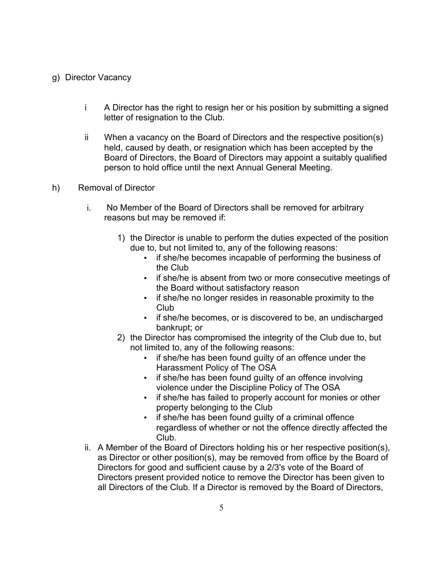#### g) Director Vacancy

- i A Director has the right to resign her or his position by submitting a signed letter of resignation to the Club.
- ii When a vacancy on the Board of Directors and the respective position(s) held, caused by death, or resignation which has been accepted by the Board of Directors, the Board of Directors may appoint a suitably qualified person to hold office until the next Annual General Meeting.
- h) Removal of Director
	- i. No Member of the Board of Directors shall be removed for arbitrary reasons but may be removed if:
		- 1) the Director is unable to perform the duties expected of the position due to, but not limited to, any of the following reasons:
			- if she/he becomes incapable of performing the business of the Club
			- if she/he is absent from two or more consecutive meetings of the Board without satisfactory reason
			- if she/he no longer resides in reasonable proximity to the Club
			- if she/he becomes, or is discovered to be, an undischarged bankrupt; or
		- 2) the Director has compromised the integrity of the Club due to, but not limited to, any of the following reasons:
			- if she/he has been found guilty of an offence under the Harassment Policy of The OSA
			- if she/he has been found guilty of an offence involving violence under the Discipline Policy of The OSA
			- if she/he has failed to properly account for monies or other property belonging to the Club
			- if she/he has been found guilty of a criminal offence regardless of whether or not the offence directly affected the Club.
	- ii. A Member of the Board of Directors holding his or her respective position(s), as Director or other position(s), may be removed from office by the Board of Directors for good and sufficient cause by a 2/3's vote of the Board of Directors present provided notice to remove the Director has been given to all Directors of the Club. If a Director is removed by the Board of Directors,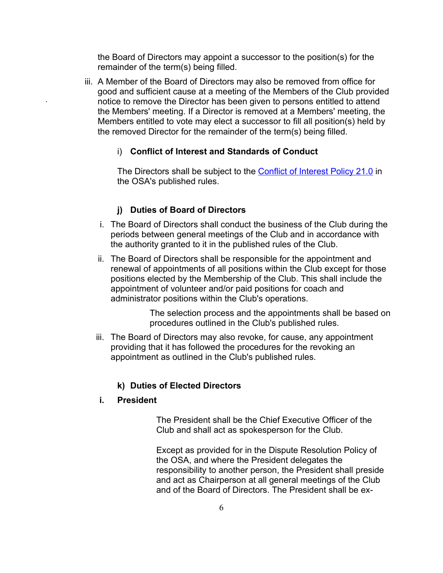the Board of Directors may appoint a successor to the position(s) for the remainder of the term(s) being filled.

iii. A Member of the Board of Directors may also be removed from office for good and sufficient cause at a meeting of the Members of the Club provided notice to remove the Director has been given to persons entitled to attend the Members' meeting. If a Director is removed at a Members' meeting, the Members entitled to vote may elect a successor to fill all position(s) held by the removed Director for the remainder of the term(s) being filled.

#### i) **Conflict of Interest and Standards of Conduct**

The Directors shall be subject to the [Conflict of Interest Policy 21.0](http://soccer.on.ca/Publications/mam.nsf/71526f2c5ac3fee085256a8e00521dda/c40b31905f8fcb2e8525707e006cea75?OpenDocument) in the OSA's published rules.

#### **j) Duties of Board of Directors**

- i. The Board of Directors shall conduct the business of the Club during the periods between general meetings of the Club and in accordance with the authority granted to it in the published rules of the Club.
- ii. The Board of Directors shall be responsible for the appointment and renewal of appointments of all positions within the Club except for those positions elected by the Membership of the Club. This shall include the appointment of volunteer and/or paid positions for coach and administrator positions within the Club's operations.

The selection process and the appointments shall be based on procedures outlined in the Club's published rules.

iii. The Board of Directors may also revoke, for cause, any appointment providing that it has followed the procedures for the revoking an appointment as outlined in the Club's published rules.

#### **k) Duties of Elected Directors**

#### **i. President**

**.**

The President shall be the Chief Executive Officer of the Club and shall act as spokesperson for the Club.

Except as provided for in the Dispute Resolution Policy of the OSA, and where the President delegates the responsibility to another person, the President shall preside and act as Chairperson at all general meetings of the Club and of the Board of Directors. The President shall be ex-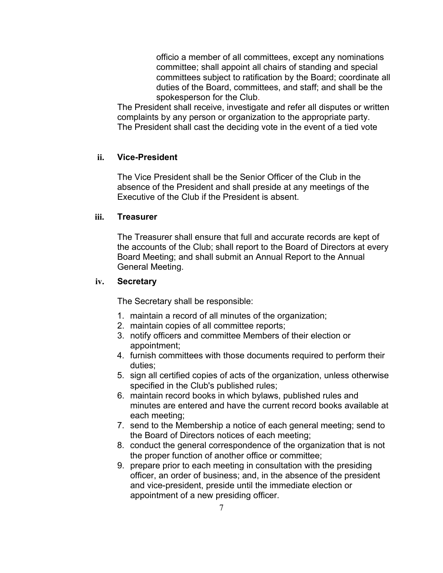officio a member of all committees, except any nominations committee; shall appoint all chairs of standing and special committees subject to ratification by the Board; coordinate all duties of the Board, committees, and staff; and shall be the spokesperson for the Club.

The President shall receive, investigate and refer all disputes or written complaints by any person or organization to the appropriate party. The President shall cast the deciding vote in the event of a tied vote

## **ii. Vice-President**

The Vice President shall be the Senior Officer of the Club in the absence of the President and shall preside at any meetings of the Executive of the Club if the President is absent.

#### **iii. Treasurer**

The Treasurer shall ensure that full and accurate records are kept of the accounts of the Club; shall report to the Board of Directors at every Board Meeting; and shall submit an Annual Report to the Annual General Meeting.

#### **iv. Secretary**

The Secretary shall be responsible:

- 1. maintain a record of all minutes of the organization;
- 2. maintain copies of all committee reports;
- 3. notify officers and committee Members of their election or appointment;
- 4. furnish committees with those documents required to perform their duties;
- 5. sign all certified copies of acts of the organization, unless otherwise specified in the Club's published rules;
- 6. maintain record books in which bylaws, published rules and minutes are entered and have the current record books available at each meeting;
- 7. send to the Membership a notice of each general meeting; send to the Board of Directors notices of each meeting;
- 8. conduct the general correspondence of the organization that is not the proper function of another office or committee;
- 9. prepare prior to each meeting in consultation with the presiding officer, an order of business; and, in the absence of the president and vice-president, preside until the immediate election or appointment of a new presiding officer.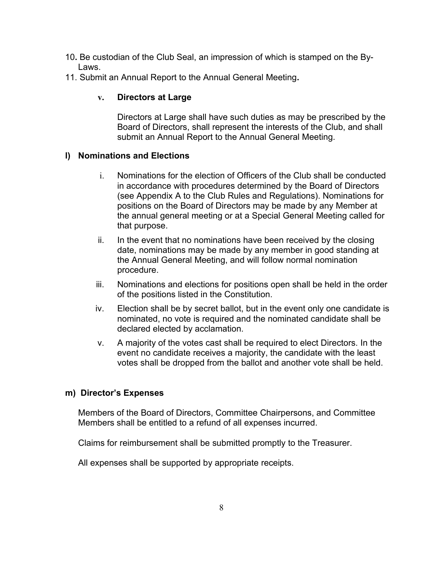- 10**.** Be custodian of the Club Seal, an impression of which is stamped on the By-Laws.
- 11. Submit an Annual Report to the Annual General Meeting**.**

# **v. Directors at Large**

Directors at Large shall have such duties as may be prescribed by the Board of Directors, shall represent the interests of the Club, and shall submit an Annual Report to the Annual General Meeting.

## **l) Nominations and Elections**

- i. Nominations for the election of Officers of the Club shall be conducted in accordance with procedures determined by the Board of Directors (see Appendix A to the Club Rules and Regulations). Nominations for positions on the Board of Directors may be made by any Member at the annual general meeting or at a Special General Meeting called for that purpose.
- ii. In the event that no nominations have been received by the closing date, nominations may be made by any member in good standing at the Annual General Meeting, and will follow normal nomination procedure.
- iii. Nominations and elections for positions open shall be held in the order of the positions listed in the Constitution.
- iv. Election shall be by secret ballot, but in the event only one candidate is nominated, no vote is required and the nominated candidate shall be declared elected by acclamation.
- v. A majority of the votes cast shall be required to elect Directors. In the event no candidate receives a majority, the candidate with the least votes shall be dropped from the ballot and another vote shall be held.

## **m) Director's Expenses**

Members of the Board of Directors, Committee Chairpersons, and Committee Members shall be entitled to a refund of all expenses incurred.

Claims for reimbursement shall be submitted promptly to the Treasurer.

All expenses shall be supported by appropriate receipts.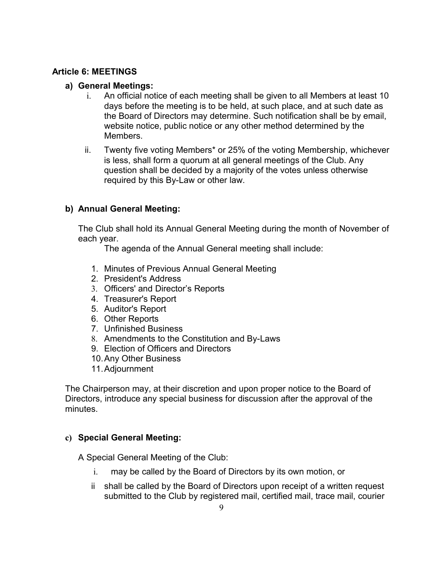# **Article 6: MEETINGS**

## **a) General Meetings:**

- i. An official notice of each meeting shall be given to all Members at least 10 days before the meeting is to be held, at such place, and at such date as the Board of Directors may determine. Such notification shall be by email, website notice, public notice or any other method determined by the Members.
- ii. Twenty five voting Members\* or 25% of the voting Membership, whichever is less, shall form a quorum at all general meetings of the Club. Any question shall be decided by a majority of the votes unless otherwise required by this By-Law or other law.

# **b) Annual General Meeting:**

The Club shall hold its Annual General Meeting during the month of November of each year.

The agenda of the Annual General meeting shall include:

- 1. Minutes of Previous Annual General Meeting
- 2. President's Address
- 3. Officers' and Director's Reports
- 4. Treasurer's Report
- 5. Auditor's Report
- 6. Other Reports
- 7. Unfinished Business
- 8. Amendments to the Constitution and By-Laws
- 9. Election of Officers and Directors
- 10.Any Other Business
- 11.Adjournment

The Chairperson may, at their discretion and upon proper notice to the Board of Directors, introduce any special business for discussion after the approval of the minutes.

# **c) Special General Meeting:**

A Special General Meeting of the Club:

- i. may be called by the Board of Directors by its own motion, or
- ii shall be called by the Board of Directors upon receipt of a written request submitted to the Club by registered mail, certified mail, trace mail, courier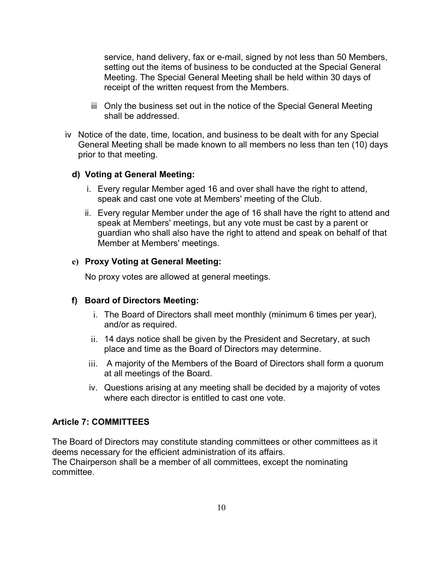service, hand delivery, fax or e-mail, signed by not less than 50 Members, setting out the items of business to be conducted at the Special General Meeting. The Special General Meeting shall be held within 30 days of receipt of the written request from the Members.

- iii Only the business set out in the notice of the Special General Meeting shall be addressed.
- iv Notice of the date, time, location, and business to be dealt with for any Special General Meeting shall be made known to all members no less than ten (10) days prior to that meeting.

#### **d) Voting at General Meeting:**

- i. Every regular Member aged 16 and over shall have the right to attend, speak and cast one vote at Members' meeting of the Club.
- ii. Every regular Member under the age of 16 shall have the right to attend and speak at Members' meetings, but any vote must be cast by a parent or guardian who shall also have the right to attend and speak on behalf of that Member at Members' meetings.

#### **e) Proxy Voting at General Meeting:**

No proxy votes are allowed at general meetings.

#### **f) Board of Directors Meeting:**

- i. The Board of Directors shall meet monthly (minimum 6 times per year), and/or as required.
- ii. 14 days notice shall be given by the President and Secretary, at such place and time as the Board of Directors may determine.
- iii. A majority of the Members of the Board of Directors shall form a quorum at all meetings of the Board.
- iv. Questions arising at any meeting shall be decided by a majority of votes where each director is entitled to cast one vote.

#### **Article 7: COMMITTEES**

The Board of Directors may constitute standing committees or other committees as it deems necessary for the efficient administration of its affairs. The Chairperson shall be a member of all committees, except the nominating committee.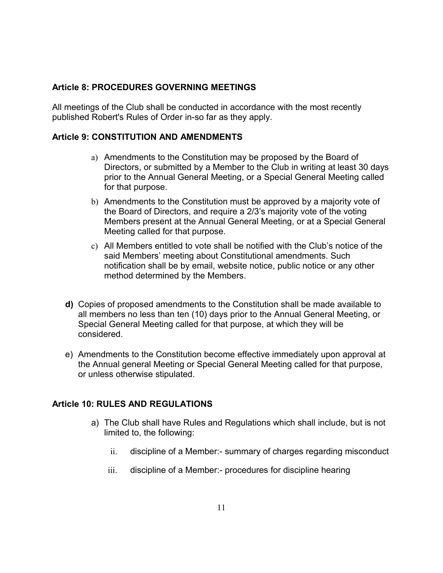# **Article 8: PROCEDURES GOVERNING MEETINGS**

All meetings of the Club shall be conducted in accordance with the most recently published Robert's Rules of Order in-so far as they apply.

# **Article 9: CONSTITUTION AND AMENDMENTS**

- a) Amendments to the Constitution may be proposed by the Board of Directors, or submitted by a Member to the Club in writing at least 30 days prior to the Annual General Meeting, or a Special General Meeting called for that purpose.
- b) Amendments to the Constitution must be approved by a majority vote of the Board of Directors, and require a 2/3's majority vote of the voting Members present at the Annual General Meeting, or at a Special General Meeting called for that purpose.
- c) All Members entitled to vote shall be notified with the Club's notice of the said Members' meeting about Constitutional amendments. Such notification shall be by email, website notice, public notice or any other method determined by the Members.
- **d)** Copies of proposed amendments to the Constitution shall be made available to all members no less than ten (10) days prior to the Annual General Meeting, or Special General Meeting called for that purpose, at which they will be considered.
- e) Amendments to the Constitution become effective immediately upon approval at the Annual general Meeting or Special General Meeting called for that purpose, or unless otherwise stipulated.

# **Article 10: RULES AND REGULATIONS**

- a) The Club shall have Rules and Regulations which shall include, but is not limited to, the following:
	- ii. discipline of a Member:- summary of charges regarding misconduct
	- iii. discipline of a Member:- procedures for discipline hearing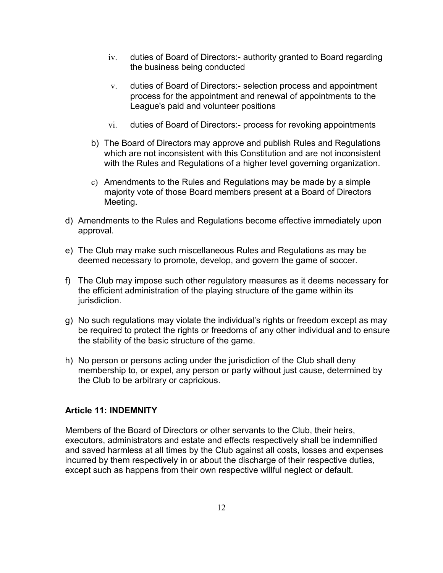- iv. duties of Board of Directors:- authority granted to Board regarding the business being conducted
- v. duties of Board of Directors:- selection process and appointment process for the appointment and renewal of appointments to the League's paid and volunteer positions
- vi. duties of Board of Directors:- process for revoking appointments
- b) The Board of Directors may approve and publish Rules and Regulations which are not inconsistent with this Constitution and are not inconsistent with the Rules and Regulations of a higher level governing organization.
- c) Amendments to the Rules and Regulations may be made by a simple majority vote of those Board members present at a Board of Directors Meeting.
- d) Amendments to the Rules and Regulations become effective immediately upon approval.
- e) The Club may make such miscellaneous Rules and Regulations as may be deemed necessary to promote, develop, and govern the game of soccer.
- f) The Club may impose such other regulatory measures as it deems necessary for the efficient administration of the playing structure of the game within its jurisdiction.
- g) No such regulations may violate the individual's rights or freedom except as may be required to protect the rights or freedoms of any other individual and to ensure the stability of the basic structure of the game.
- h) No person or persons acting under the jurisdiction of the Club shall deny membership to, or expel, any person or party without just cause, determined by the Club to be arbitrary or capricious.

# **Article 11: INDEMNITY**

Members of the Board of Directors or other servants to the Club, their heirs, executors, administrators and estate and effects respectively shall be indemnified and saved harmless at all times by the Club against all costs, losses and expenses incurred by them respectively in or about the discharge of their respective duties, except such as happens from their own respective willful neglect or default.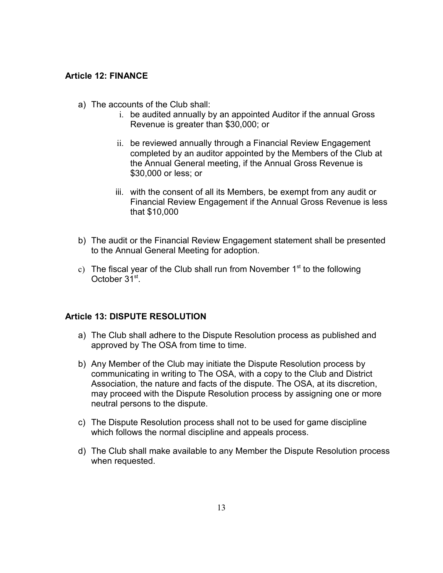#### **Article 12: FINANCE**

- a) The accounts of the Club shall:
	- i. be audited annually by an appointed Auditor if the annual Gross Revenue is greater than \$30,000; or
	- ii. be reviewed annually through a Financial Review Engagement completed by an auditor appointed by the Members of the Club at the Annual General meeting, if the Annual Gross Revenue is \$30,000 or less; or
	- iii. with the consent of all its Members, be exempt from any audit or Financial Review Engagement if the Annual Gross Revenue is less that \$10,000
- b) The audit or the Financial Review Engagement statement shall be presented to the Annual General Meeting for adoption.
- c) The fiscal year of the Club shall run from November  $1<sup>st</sup>$  to the following October 31<sup>st</sup>.

#### **Article 13: DISPUTE RESOLUTION**

- a) The Club shall adhere to the Dispute Resolution process as published and approved by The OSA from time to time.
- b) Any Member of the Club may initiate the Dispute Resolution process by communicating in writing to The OSA, with a copy to the Club and District Association, the nature and facts of the dispute. The OSA, at its discretion, may proceed with the Dispute Resolution process by assigning one or more neutral persons to the dispute.
- c) The Dispute Resolution process shall not to be used for game discipline which follows the normal discipline and appeals process.
- d) The Club shall make available to any Member the Dispute Resolution process when requested.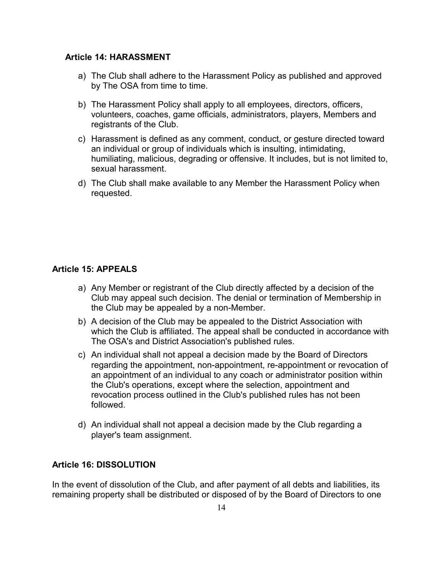#### **Article 14: HARASSMENT**

- a) The Club shall adhere to the Harassment Policy as published and approved by The OSA from time to time.
- b) The Harassment Policy shall apply to all employees, directors, officers, volunteers, coaches, game officials, administrators, players, Members and registrants of the Club.
- c) Harassment is defined as any comment, conduct, or gesture directed toward an individual or group of individuals which is insulting, intimidating, humiliating, malicious, degrading or offensive. It includes, but is not limited to, sexual harassment.
- d) The Club shall make available to any Member the Harassment Policy when requested.

## **Article 15: APPEALS**

- a) Any Member or registrant of the Club directly affected by a decision of the Club may appeal such decision. The denial or termination of Membership in the Club may be appealed by a non-Member.
- b) A decision of the Club may be appealed to the District Association with which the Club is affiliated. The appeal shall be conducted in accordance with The OSA's and District Association's published rules.
- c) An individual shall not appeal a decision made by the Board of Directors regarding the appointment, non-appointment, re-appointment or revocation of an appointment of an individual to any coach or administrator position within the Club's operations, except where the selection, appointment and revocation process outlined in the Club's published rules has not been followed.
- d) An individual shall not appeal a decision made by the Club regarding a player's team assignment.

## **Article 16: DISSOLUTION**

In the event of dissolution of the Club, and after payment of all debts and liabilities, its remaining property shall be distributed or disposed of by the Board of Directors to one